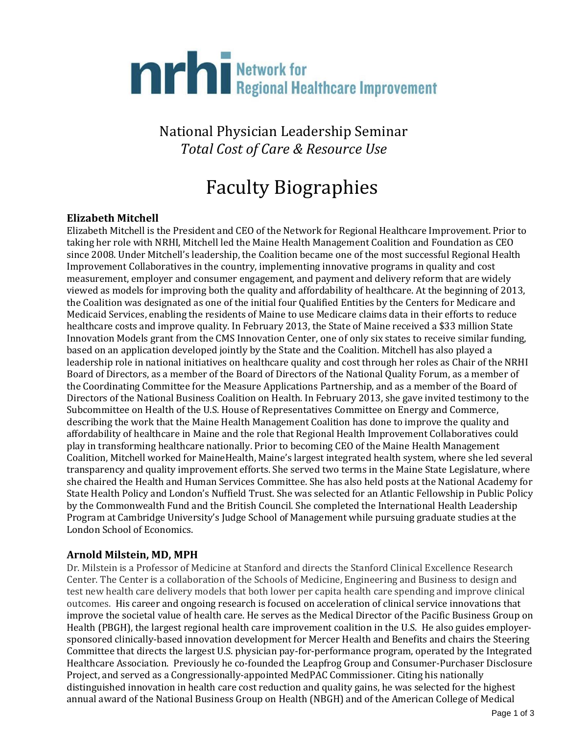# **The Regional Healthcare Improvement**

National Physician Leadership Seminar *Total Cost of Care & Resource Use*

# Faculty Biographies

# **Elizabeth Mitchell**

Elizabeth Mitchell is the President and CEO of the Network for Regional Healthcare Improvement. Prior to taking her role with NRHI, Mitchell led the Maine Health Management Coalition and Foundation as CEO since 2008. Under Mitchell's leadership, the Coalition became one of the most successful Regional Health Improvement Collaboratives in the country, implementing innovative programs in quality and cost measurement, employer and consumer engagement, and payment and delivery reform that are widely viewed as models for improving both the quality and affordability of healthcare. At the beginning of 2013, the Coalition was designated as one of the initial four Qualified Entities by the Centers for Medicare and Medicaid Services, enabling the residents of Maine to use Medicare claims data in their efforts to reduce healthcare costs and improve quality. In February 2013, the State of Maine received a \$33 million State Innovation Models grant from the CMS Innovation Center, one of only six states to receive similar funding, based on an application developed jointly by the State and the Coalition. Mitchell has also played a leadership role in national initiatives on healthcare quality and cost through her roles as Chair of the NRHI Board of Directors, as a member of the Board of Directors of the National Quality Forum, as a member of the Coordinating Committee for the Measure Applications Partnership, and as a member of the Board of Directors of the National Business Coalition on Health. In February 2013, she gave invited testimony to the Subcommittee on Health of the U.S. House of Representatives Committee on Energy and Commerce, describing the work that the Maine Health Management Coalition has done to improve the quality and affordability of healthcare in Maine and the role that Regional Health Improvement Collaboratives could play in transforming healthcare nationally. Prior to becoming CEO of the Maine Health Management Coalition, Mitchell worked for MaineHealth, Maine's largest integrated health system, where she led several transparency and quality improvement efforts. She served two terms in the Maine State Legislature, where she chaired the Health and Human Services Committee. She has also held posts at the National Academy for State Health Policy and London's Nuffield Trust. She was selected for an Atlantic Fellowship in Public Policy by the Commonwealth Fund and the British Council. She completed the International Health Leadership Program at Cambridge University's Judge School of Management while pursuing graduate studies at the London School of Economics.

# **Arnold Milstein, MD, MPH**

Dr. Milstein is a Professor of Medicine at Stanford and directs the Stanford Clinical Excellence Research Center. The Center is a collaboration of the Schools of Medicine, Engineering and Business to design and test new health care delivery models that both lower per capita health care spending and improve clinical outcomes. His career and ongoing research is focused on acceleration of clinical service innovations that improve the societal value of health care. He serves as the Medical Director of the Pacific Business Group on Health (PBGH), the largest regional health care improvement coalition in the U.S. He also guides employersponsored clinically-based innovation development for Mercer Health and Benefits and chairs the Steering Committee that directs the largest U.S. physician pay-for-performance program, operated by the Integrated Healthcare Association. Previously he co-founded the Leapfrog Group and Consumer-Purchaser Disclosure Project, and served as a Congressionally-appointed MedPAC Commissioner. Citing his nationally distinguished innovation in health care cost reduction and quality gains, he was selected for the highest annual award of the National Business Group on Health (NBGH) and of the American College of Medical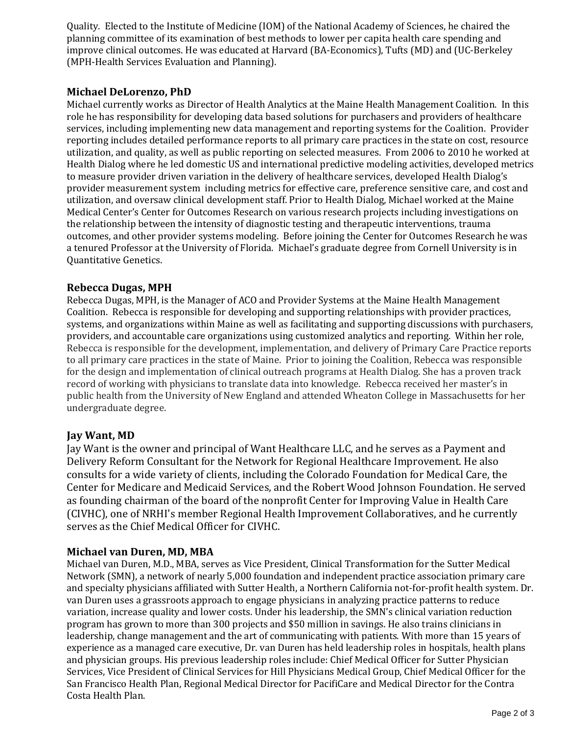Quality. Elected to the Institute of Medicine (IOM) of the National Academy of Sciences, he chaired the planning committee of its examination of best methods to lower per capita health care spending and improve clinical outcomes. He was educated at Harvard (BA-Economics), Tufts (MD) and (UC-Berkeley (MPH-Health Services Evaluation and Planning).

# **Michael DeLorenzo, PhD**

Michael currently works as Director of Health Analytics at the Maine Health Management Coalition. In this role he has responsibility for developing data based solutions for purchasers and providers of healthcare services, including implementing new data management and reporting systems for the Coalition. Provider reporting includes detailed performance reports to all primary care practices in the state on cost, resource utilization, and quality, as well as public reporting on selected measures. From 2006 to 2010 he worked at Health Dialog where he led domestic US and international predictive modeling activities, developed metrics to measure provider driven variation in the delivery of healthcare services, developed Health Dialog's provider measurement system including metrics for effective care, preference sensitive care, and cost and utilization, and oversaw clinical development staff. Prior to Health Dialog, Michael worked at the Maine Medical Center's Center for Outcomes Research on various research projects including investigations on the relationship between the intensity of diagnostic testing and therapeutic interventions, trauma outcomes, and other provider systems modeling. Before joining the Center for Outcomes Research he was a tenured Professor at the University of Florida. Michael's graduate degree from Cornell University is in Quantitative Genetics.

# **Rebecca Dugas, MPH**

Rebecca Dugas, MPH, is the Manager of ACO and Provider Systems at the Maine Health Management Coalition. Rebecca is responsible for developing and supporting relationships with provider practices, systems, and organizations within Maine as well as facilitating and supporting discussions with purchasers, providers, and accountable care organizations using customized analytics and reporting. Within her role, Rebecca is responsible for the development, implementation, and delivery of Primary Care Practice reports to all primary care practices in the state of Maine. Prior to joining the Coalition, Rebecca was responsible for the design and implementation of clinical outreach programs at Health Dialog. She has a proven track record of working with physicians to translate data into knowledge. Rebecca received her master's in public health from the University of New England and attended Wheaton College in Massachusetts for her undergraduate degree.

# **Jay Want, MD**

Jay Want is the owner and principal of Want Healthcare LLC, and he serves as a Payment and Delivery Reform Consultant for the Network for Regional Healthcare Improvement. He also consults for a wide variety of clients, including the Colorado Foundation for Medical Care, the Center for Medicare and Medicaid Services, and the Robert Wood Johnson Foundation. He served as founding chairman of the board of the nonprofit Center for Improving Value in Health Care (CIVHC), one of NRHI's member Regional Health Improvement Collaboratives, and he currently serves as the Chief Medical Officer for CIVHC.

# **Michael van Duren, MD, MBA**

Michael van Duren, M.D., MBA, serves as Vice President, Clinical Transformation for the Sutter Medical Network (SMN), a network of nearly 5,000 foundation and independent practice association primary care and specialty physicians affiliated with Sutter Health, a Northern California not-for-profit health system. Dr. van Duren uses a grassroots approach to engage physicians in analyzing practice patterns to reduce variation, increase quality and lower costs. Under his leadership, the SMN's clinical variation reduction program has grown to more than 300 projects and \$50 million in savings. He also trains clinicians in leadership, change management and the art of communicating with patients. With more than 15 years of experience as a managed care executive, Dr. van Duren has held leadership roles in hospitals, health plans and physician groups. His previous leadership roles include: Chief Medical Officer for Sutter Physician Services, Vice President of Clinical Services for Hill Physicians Medical Group, Chief Medical Officer for the San Francisco Health Plan, Regional Medical Director for PacifiCare and Medical Director for the Contra Costa Health Plan.